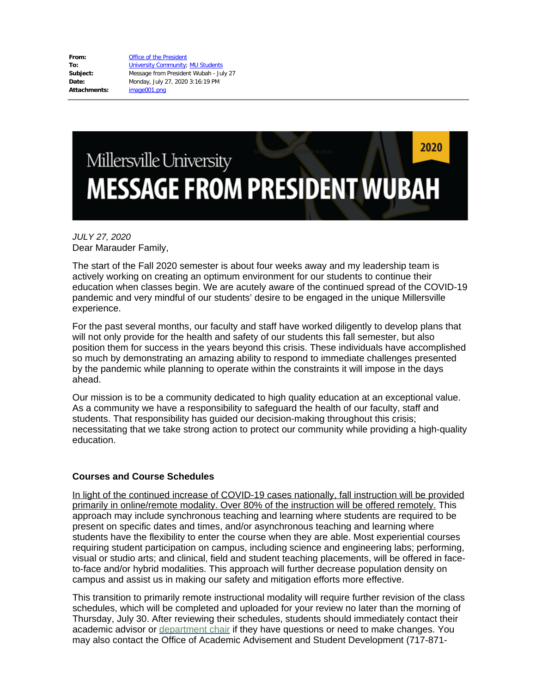**From:** [Office of the President](mailto:OfficeofthePresident@millersville.edu) **To:** [University Community](mailto:univcomm@millersville.edu); [MU Students](mailto:MU.Students@millersville.edu) **Subject:** Message from President Wubah - July 27 **Date:** Monday, July 27, 2020 3:16:19 PM **Attachments:** image001.png

# 2020 Millersville University **MESSAGE FROM PRESIDENT WUBAH**

## *JULY 27, 2020* Dear Marauder Family,

The start of the Fall 2020 semester is about four weeks away and my leadership team is actively working on creating an optimum environment for our students to continue their education when classes begin. We are acutely aware of the continued spread of the COVID-19 pandemic and very mindful of our students' desire to be engaged in the unique Millersville experience.

For the past several months, our faculty and staff have worked diligently to develop plans that will not only provide for the health and safety of our students this fall semester, but also position them for success in the years beyond this crisis. These individuals have accomplished so much by demonstrating an amazing ability to respond to immediate challenges presented by the pandemic while planning to operate within the constraints it will impose in the days ahead.

Our mission is to be a community dedicated to high quality education at an exceptional value. As a community we have a responsibility to safeguard the health of our faculty, staff and students. That responsibility has guided our decision-making throughout this crisis; necessitating that we take strong action to protect our community while providing a high-quality education.

#### **Courses and Course Schedules**

In light of the continued increase of COVID-19 cases nationally, fall instruction will be provided primarily in online/remote modality. Over 80% of the instruction will be offered remotely. This approach may include synchronous teaching and learning where students are required to be present on specific dates and times, and/or asynchronous teaching and learning where students have the flexibility to enter the course when they are able. Most experiential courses requiring student participation on campus, including science and engineering labs; performing, visual or studio arts; and clinical, field and student teaching placements, will be offered in faceto-face and/or hybrid modalities. This approach will further decrease population density on campus and assist us in making our safety and mitigation efforts more effective.

This transition to primarily remote instructional modality will require further revision of the class schedules, which will be completed and uploaded for your review no later than the morning of Thursday, July 30. After reviewing their schedules, students should immediately contact their academic advisor or [department chair](https://www.millersville.edu/provost/dean-and-chair-list.php) if they have questions or need to make changes. You may also contact the Office of Academic Advisement and Student Development (717-871-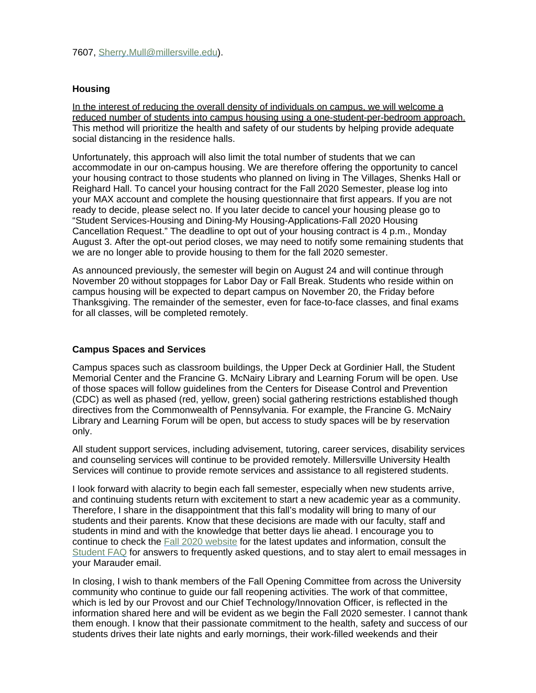# **Housing**

In the interest of reducing the overall density of individuals on campus, we will welcome a reduced number of students into campus housing using a one-student-per-bedroom approach. This method will prioritize the health and safety of our students by helping provide adequate social distancing in the residence halls.

Unfortunately, this approach will also limit the total number of students that we can accommodate in our on-campus housing. We are therefore offering the opportunity to cancel your housing contract to those students who planned on living in The Villages, Shenks Hall or Reighard Hall. To cancel your housing contract for the Fall 2020 Semester, please log into your MAX account and complete the housing questionnaire that first appears. If you are not ready to decide, please select no. If you later decide to cancel your housing please go to "Student Services-Housing and Dining-My Housing-Applications-Fall 2020 Housing Cancellation Request." The deadline to opt out of your housing contract is 4 p.m., Monday August 3. After the opt-out period closes, we may need to notify some remaining students that we are no longer able to provide housing to them for the fall 2020 semester.

As announced previously, the semester will begin on August 24 and will continue through November 20 without stoppages for Labor Day or Fall Break. Students who reside within on campus housing will be expected to depart campus on November 20, the Friday before Thanksgiving. The remainder of the semester, even for face-to-face classes, and final exams for all classes, will be completed remotely.

## **Campus Spaces and Services**

Campus spaces such as classroom buildings, the Upper Deck at Gordinier Hall, the Student Memorial Center and the Francine G. McNairy Library and Learning Forum will be open. Use of those spaces will follow guidelines from the Centers for Disease Control and Prevention (CDC) as well as phased (red, yellow, green) social gathering restrictions established though directives from the Commonwealth of Pennsylvania. For example, the Francine G. McNairy Library and Learning Forum will be open, but access to study spaces will be by reservation only.

All student support services, including advisement, tutoring, career services, disability services and counseling services will continue to be provided remotely. Millersville University Health Services will continue to provide remote services and assistance to all registered students.

I look forward with alacrity to begin each fall semester, especially when new students arrive, and continuing students return with excitement to start a new academic year as a community. Therefore, I share in the disappointment that this fall's modality will bring to many of our students and their parents. Know that these decisions are made with our faculty, staff and students in mind and with the knowledge that better days lie ahead. I encourage you to continue to check the [Fall 2020 website](https://www.millersville.edu/fall2020/) for the latest updates and information, consult the [Student FAQ](https://www.millersville.edu/fall2020/student-faqs.php) for answers to frequently asked questions, and to stay alert to email messages in your Marauder email.

In closing, I wish to thank members of the Fall Opening Committee from across the University community who continue to guide our fall reopening activities. The work of that committee, which is led by our Provost and our Chief Technology/Innovation Officer, is reflected in the information shared here and will be evident as we begin the Fall 2020 semester. I cannot thank them enough. I know that their passionate commitment to the health, safety and success of our students drives their late nights and early mornings, their work-filled weekends and their